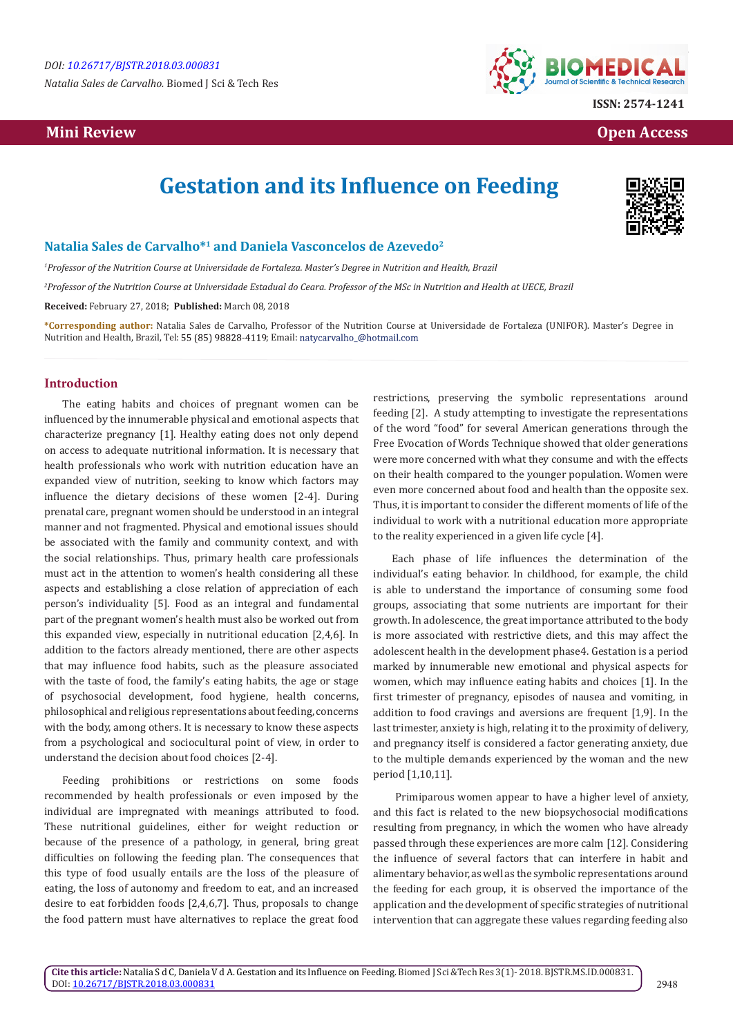*Natalia Sales de Carvalho.* Biomed J Sci & Tech Res

## **Mini Review Open Access**



# **Gestation and its Influence on Feeding**



#### **Natalia Sales de Carvalho\*<sup>1</sup> and Daniela Vasconcelos de Azevedo<sup>2</sup>**

*1 Professor of the Nutrition Course at Universidade de Fortaleza. Master's Degree in Nutrition and Health, Brazil*

*2 Professor of the Nutrition Course at Universidade Estadual do Ceara. Professor of the MSc in Nutrition and Health at UECE, Brazil*

**Received:** February 27, 2018; **Published:** March 08, 2018

**\*Corresponding author:** Natalia Sales de Carvalho, Professor of the Nutrition Course at Universidade de Fortaleza (UNIFOR). Master's Degree in Nutrition and Health, Brazil, Tel: 55 (85) 98828-4119; Email: natycarvalho\_@hotmail.com

#### **Introduction**

The eating habits and choices of pregnant women can be influenced by the innumerable physical and emotional aspects that characterize pregnancy [1]. Healthy eating does not only depend on access to adequate nutritional information. It is necessary that health professionals who work with nutrition education have an expanded view of nutrition, seeking to know which factors may influence the dietary decisions of these women [2-4]. During prenatal care, pregnant women should be understood in an integral manner and not fragmented. Physical and emotional issues should be associated with the family and community context, and with the social relationships. Thus, primary health care professionals must act in the attention to women's health considering all these aspects and establishing a close relation of appreciation of each person's individuality [5]. Food as an integral and fundamental part of the pregnant women's health must also be worked out from this expanded view, especially in nutritional education [2,4,6]. In addition to the factors already mentioned, there are other aspects that may influence food habits, such as the pleasure associated with the taste of food, the family's eating habits, the age or stage of psychosocial development, food hygiene, health concerns, philosophical and religious representations about feeding, concerns with the body, among others. It is necessary to know these aspects from a psychological and sociocultural point of view, in order to understand the decision about food choices [2-4].

Feeding prohibitions or restrictions on some foods recommended by health professionals or even imposed by the individual are impregnated with meanings attributed to food. These nutritional guidelines, either for weight reduction or because of the presence of a pathology, in general, bring great difficulties on following the feeding plan. The consequences that this type of food usually entails are the loss of the pleasure of eating, the loss of autonomy and freedom to eat, and an increased desire to eat forbidden foods [2,4,6,7]. Thus, proposals to change the food pattern must have alternatives to replace the great food

restrictions, preserving the symbolic representations around feeding [2]. A study attempting to investigate the representations of the word "food" for several American generations through the Free Evocation of Words Technique showed that older generations were more concerned with what they consume and with the effects on their health compared to the younger population. Women were even more concerned about food and health than the opposite sex. Thus, it is important to consider the different moments of life of the individual to work with a nutritional education more appropriate to the reality experienced in a given life cycle [4].

Each phase of life influences the determination of the individual's eating behavior. In childhood, for example, the child is able to understand the importance of consuming some food groups, associating that some nutrients are important for their growth. In adolescence, the great importance attributed to the body is more associated with restrictive diets, and this may affect the adolescent health in the development phase4. Gestation is a period marked by innumerable new emotional and physical aspects for women, which may influence eating habits and choices [1]. In the first trimester of pregnancy, episodes of nausea and vomiting, in addition to food cravings and aversions are frequent [1,9]. In the last trimester, anxiety is high, relating it to the proximity of delivery, and pregnancy itself is considered a factor generating anxiety, due to the multiple demands experienced by the woman and the new period [1,10,11].

 Primiparous women appear to have a higher level of anxiety, and this fact is related to the new biopsychosocial modifications resulting from pregnancy, in which the women who have already passed through these experiences are more calm [12]. Considering the influence of several factors that can interfere in habit and alimentary behavior, as well as the symbolic representations around the feeding for each group, it is observed the importance of the application and the development of specific strategies of nutritional intervention that can aggregate these values regarding feeding also